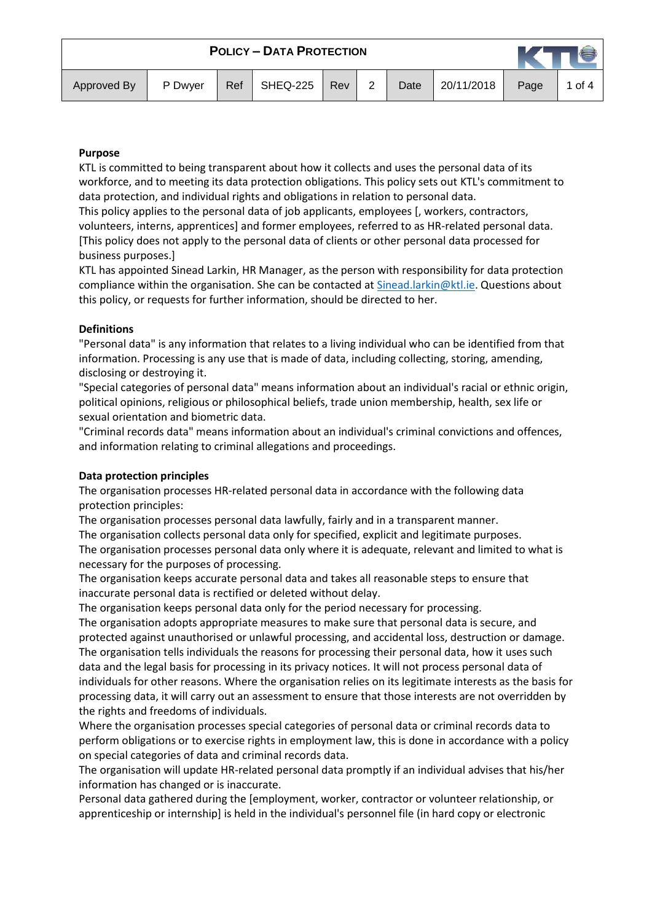| Approved By | P Dwyer | Ref | SHEQ-225 | Rev | 2 | Date | 20/11/2018 | Page | 1 of 4 |
|-------------|---------|-----|----------|-----|---|------|------------|------|--------|

#### **Purpose**

KTL is committed to being transparent about how it collects and uses the personal data of its workforce, and to meeting its data protection obligations. This policy sets out KTL's commitment to data protection, and individual rights and obligations in relation to personal data.

This policy applies to the personal data of job applicants, employees [, workers, contractors, volunteers, interns, apprentices] and former employees, referred to as HR-related personal data. [This policy does not apply to the personal data of clients or other personal data processed for business purposes.]

KTL has appointed Sinead Larkin, HR Manager, as the person with responsibility for data protection compliance within the organisation. She can be contacted at  $Sinead.larkin@ktl.ie.$  Questions about this policy, or requests for further information, should be directed to her.

#### **Definitions**

"Personal data" is any information that relates to a living individual who can be identified from that information. Processing is any use that is made of data, including collecting, storing, amending, disclosing or destroying it.

"Special categories of personal data" means information about an individual's racial or ethnic origin, political opinions, religious or philosophical beliefs, trade union membership, health, sex life or sexual orientation and biometric data.

"Criminal records data" means information about an individual's criminal convictions and offences, and information relating to criminal allegations and proceedings.

#### **Data protection principles**

The organisation processes HR-related personal data in accordance with the following data protection principles:

The organisation processes personal data lawfully, fairly and in a transparent manner.

The organisation collects personal data only for specified, explicit and legitimate purposes.

The organisation processes personal data only where it is adequate, relevant and limited to what is necessary for the purposes of processing.

The organisation keeps accurate personal data and takes all reasonable steps to ensure that inaccurate personal data is rectified or deleted without delay.

The organisation keeps personal data only for the period necessary for processing.

The organisation adopts appropriate measures to make sure that personal data is secure, and protected against unauthorised or unlawful processing, and accidental loss, destruction or damage. The organisation tells individuals the reasons for processing their personal data, how it uses such data and the legal basis for processing in its privacy notices. It will not process personal data of individuals for other reasons. Where the organisation relies on its legitimate interests as the basis for processing data, it will carry out an assessment to ensure that those interests are not overridden by the rights and freedoms of individuals.

Where the organisation processes special categories of personal data or criminal records data to perform obligations or to exercise rights in employment law, this is done in accordance with a policy on special categories of data and criminal records data.

The organisation will update HR-related personal data promptly if an individual advises that his/her information has changed or is inaccurate.

Personal data gathered during the [employment, worker, contractor or volunteer relationship, or apprenticeship or internship] is held in the individual's personnel file (in hard copy or electronic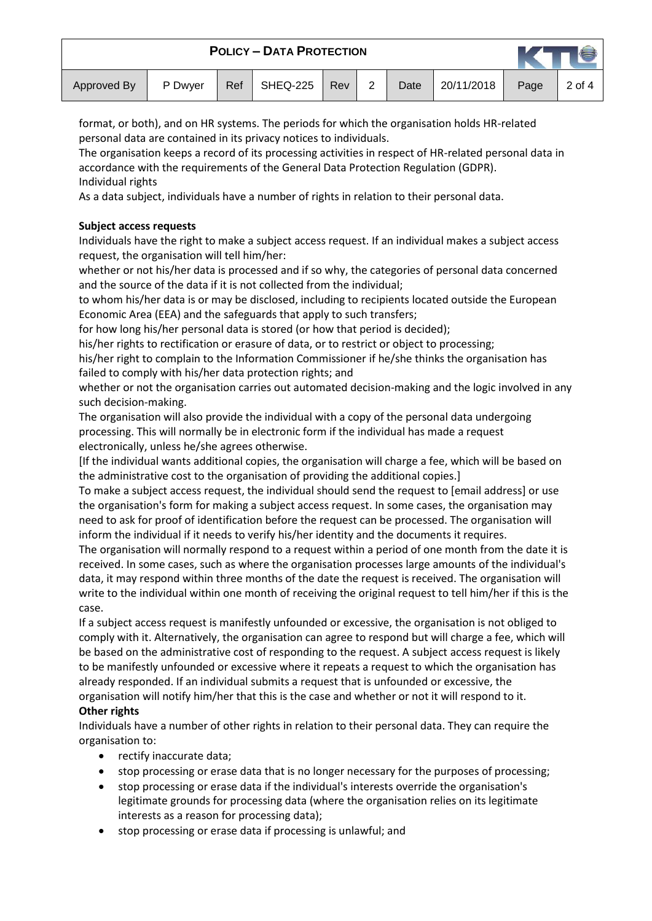| Approved By | P Dwyer | Ref | SHEQ-225 | <b>Rev</b> | 2 | Date | 20/11/2018 | Page | 2 of 4 |
|-------------|---------|-----|----------|------------|---|------|------------|------|--------|

format, or both), and on HR systems. The periods for which the organisation holds HR-related personal data are contained in its privacy notices to individuals.

The organisation keeps a record of its processing activities in respect of HR-related personal data in accordance with the requirements of the General Data Protection Regulation (GDPR). Individual rights

As a data subject, individuals have a number of rights in relation to their personal data.

# **Subject access requests**

Individuals have the right to make a subject access request. If an individual makes a subject access request, the organisation will tell him/her:

whether or not his/her data is processed and if so why, the categories of personal data concerned and the source of the data if it is not collected from the individual;

to whom his/her data is or may be disclosed, including to recipients located outside the European Economic Area (EEA) and the safeguards that apply to such transfers;

for how long his/her personal data is stored (or how that period is decided);

his/her rights to rectification or erasure of data, or to restrict or object to processing;

his/her right to complain to the Information Commissioner if he/she thinks the organisation has failed to comply with his/her data protection rights; and

whether or not the organisation carries out automated decision-making and the logic involved in any such decision-making.

The organisation will also provide the individual with a copy of the personal data undergoing processing. This will normally be in electronic form if the individual has made a request electronically, unless he/she agrees otherwise.

[If the individual wants additional copies, the organisation will charge a fee, which will be based on the administrative cost to the organisation of providing the additional copies.]

To make a subject access request, the individual should send the request to [email address] or use the organisation's form for making a subject access request. In some cases, the organisation may need to ask for proof of identification before the request can be processed. The organisation will inform the individual if it needs to verify his/her identity and the documents it requires.

The organisation will normally respond to a request within a period of one month from the date it is received. In some cases, such as where the organisation processes large amounts of the individual's data, it may respond within three months of the date the request is received. The organisation will write to the individual within one month of receiving the original request to tell him/her if this is the case.

If a subject access request is manifestly unfounded or excessive, the organisation is not obliged to comply with it. Alternatively, the organisation can agree to respond but will charge a fee, which will be based on the administrative cost of responding to the request. A subject access request is likely to be manifestly unfounded or excessive where it repeats a request to which the organisation has already responded. If an individual submits a request that is unfounded or excessive, the organisation will notify him/her that this is the case and whether or not it will respond to it.

# **Other rights**

Individuals have a number of other rights in relation to their personal data. They can require the organisation to:

- rectify inaccurate data;
- stop processing or erase data that is no longer necessary for the purposes of processing;
- stop processing or erase data if the individual's interests override the organisation's legitimate grounds for processing data (where the organisation relies on its legitimate interests as a reason for processing data);
- stop processing or erase data if processing is unlawful; and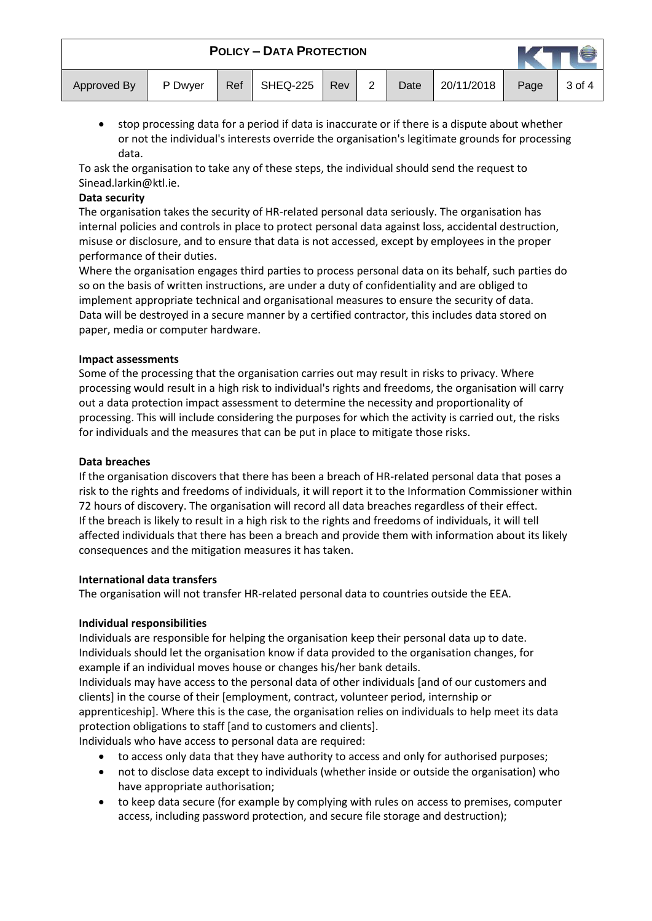| Approved By | P Dwyer | Ref | SHEQ-225 | <b>Rev</b> | っ | Date | 20/11/2018 | Page | 3 of 4 |
|-------------|---------|-----|----------|------------|---|------|------------|------|--------|

• stop processing data for a period if data is inaccurate or if there is a dispute about whether or not the individual's interests override the organisation's legitimate grounds for processing data.

To ask the organisation to take any of these steps, the individual should send the request to Sinead.larkin@ktl.ie.

### **Data security**

The organisation takes the security of HR-related personal data seriously. The organisation has internal policies and controls in place to protect personal data against loss, accidental destruction, misuse or disclosure, and to ensure that data is not accessed, except by employees in the proper performance of their duties.

Where the organisation engages third parties to process personal data on its behalf, such parties do so on the basis of written instructions, are under a duty of confidentiality and are obliged to implement appropriate technical and organisational measures to ensure the security of data. Data will be destroyed in a secure manner by a certified contractor, this includes data stored on paper, media or computer hardware.

## **Impact assessments**

Some of the processing that the organisation carries out may result in risks to privacy. Where processing would result in a high risk to individual's rights and freedoms, the organisation will carry out a data protection impact assessment to determine the necessity and proportionality of processing. This will include considering the purposes for which the activity is carried out, the risks for individuals and the measures that can be put in place to mitigate those risks.

### **Data breaches**

If the organisation discovers that there has been a breach of HR-related personal data that poses a risk to the rights and freedoms of individuals, it will report it to the Information Commissioner within 72 hours of discovery. The organisation will record all data breaches regardless of their effect. If the breach is likely to result in a high risk to the rights and freedoms of individuals, it will tell affected individuals that there has been a breach and provide them with information about its likely consequences and the mitigation measures it has taken.

# **International data transfers**

The organisation will not transfer HR-related personal data to countries outside the EEA.

# **Individual responsibilities**

Individuals are responsible for helping the organisation keep their personal data up to date. Individuals should let the organisation know if data provided to the organisation changes, for example if an individual moves house or changes his/her bank details.

Individuals may have access to the personal data of other individuals [and of our customers and clients] in the course of their [employment, contract, volunteer period, internship or apprenticeship]. Where this is the case, the organisation relies on individuals to help meet its data protection obligations to staff [and to customers and clients].

Individuals who have access to personal data are required:

- to access only data that they have authority to access and only for authorised purposes;
- not to disclose data except to individuals (whether inside or outside the organisation) who have appropriate authorisation;
- to keep data secure (for example by complying with rules on access to premises, computer access, including password protection, and secure file storage and destruction);